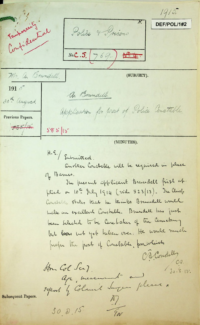Tentonaries  $1413.$ DEF/POL/1#2 Confidential Police & Prisons  $N_{0}.C.5. (769.)$ Mr. a. Brundell. (SUBJECT).  $1915$ a. Boundell. 30th august. application for post of Police Constable. Previous Papers.  $585/11$  $585|15$ 

(MINUTES).

 $H.S./$  Submitted. Another Constable will be required in place

of Barnes.

The present applicant Brundell first at. plied on 10th July 1914 (vide 523/13). The Chief Constable states track he trinks Brundell would malse un excellent Constable. Brundell has just been selected to be Carelaker of the Cemetery but books but yet tuben over. He would much prefer the post of Constable, portaliste O. A. Condelly

25part & Colamil Surgen please.

 $\wedge$ 

En

Am Col Sea? Aje, measurent au

100.  $30.8.15.$ 

Subsequent Papers.

 $308/5$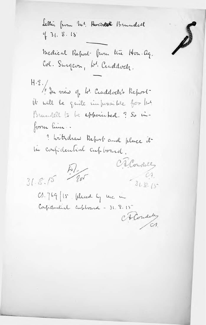Lellie from Mr. Board Brundell  $431.8.15$ 

Medical Report from the Hon. ag. Col. Surgeon, Le Craddock.

H.E./ In sien y bl. Craddock's Report it will be quite infussible for but Brundell to be appointed. ? So inform him.

a withdraw Report and place it in confidential cupboard.

 $\frac{1}{2}$  $31.8.15$ 

C.1. 769 /15 Whered by the in Confidential cubboard - 31.8.15

A Condity

O'a Condilly

 $-31.8.15$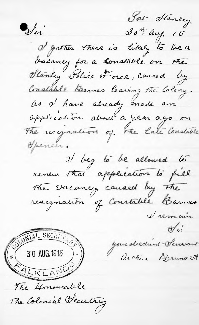Sol- Stanley 30th aug 15 Vii I gather there is likely to be a bacancy for a constable on the Olanley Solice Force, Caused by Constable Barnes leaving the Colony. as I have already made on application about a year ago on The resignation of the Late Constable *Opencer.* I beg to be allowed to renew that application to fill The vacancy caused by the resignation of Constable Barnes I remain  $\mathcal{O}$ in SUMIAL SECRETARY your deedent - Servant arthur Brundell The Honourable The Colonial Vecelary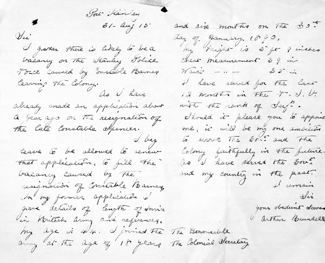Fort Hankey  $\frac{d}{d}$  $81 - \Delta u f$  15 I gather there is likely to be a bacancy on the stanley Jolie Torce Caused by onstable Barnes leaving the Colony.<br>Ao i have already made on application about de par 290 on Tã resignation of I veg leave to be allowed to renew That application, to fill the bacancy caused by the resignation of Constable Barney, In my former application I gave details of length of service in British army and references. my age is 44. I grined The The Bonomable anny at the age of 18 years The Colonial Secretary

and size months on the 30th day of January 1890, my height is sigt ? inches Chest measurement 39 in  $Maxic = 0$   $-1$   $-8i$ I have served for the last 12 knowth in The T. J.V. with the rank of Jerg. Should it please you is appoint me it will be my one ambilion to serve The soul and the Colony faithfully in the future. to I have served the souand my counting in the past. <u>Vii</u> your obedient Server

arthur Brundell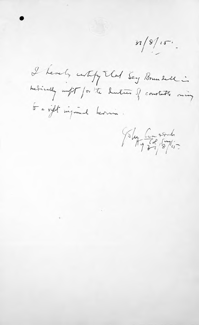$31/8/15$ .

I hereby control that Sey Brundell in<br>medically infit for the duties of constate oning to a vight inquired herman.

Islus Comport